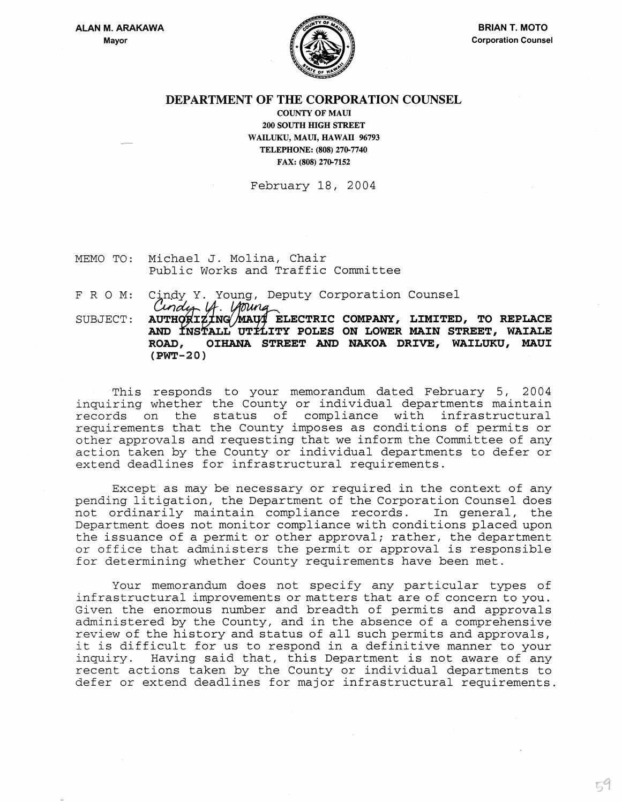

## DEPARTMENT OF THE CORPORATION COUNSEL

COUNTY OF MAUl 200 SOUTH mGH STREET WAILUKU, MAUl, HAWAII 96793 TELEPHONE: (808) 270-7740 FAX: (808) 270-7152

February 18, 2004

- MEMO TO: Michael J. Molina, Chair Public Works and Traffic Committee
- FRO M: Cindy Y. Young, Deputy Corporation Counsel<br>Cindy U. Unung

SUBJECT: AUTHORIZING MAU ELECTRIC COMPANY, LIMITED, TO REPLACE AND INSTALL UTTLITY POLES ON LOWER MAIN STREET, WAIALE ROAD, **OIHANA STREET AND NAKOA DRIVE, WAILUKU, MAUI**  (PWT-20)

This responds to your memorandum dated February 5, 2004 inquiring whether the County or individual departments maintain records on the status of compliance with infrastructural requirements that the County imposes as conditions of permits or other approvals and requesting that we inform the Committee of any action taken by the County or individual departments to defer or extend deadlines for infrastructural requirements.

Except as may be necessary or required in the context of any pending litigation, the Department of the Corporation Counsel does<br>not ordinarily maintain compliance records. In general, the not ordinarily maintain compliance records. Department does not monitor compliance with conditions placed upon the issuance of a permit or other approval; rather, the department or office that administers the permit or approval is responsible for determining whether County requirements have been met.

Your memorandum does not specify any particular types of infrastructural improvements or matters that are of concern to you. Given the enormous number and breadth of permits and approvals administered by the County, and in the absence of a comprehensive review of the history and status of all such permits and approvals, it is difficult for us to respond in a definitive manner to your<br>inquiry. Having said that, this Department is not aware of any Having said that, this Department is not aware of any recent actions taken by the County or individual departments to defer or extend deadlines for major infrastructural requirements.